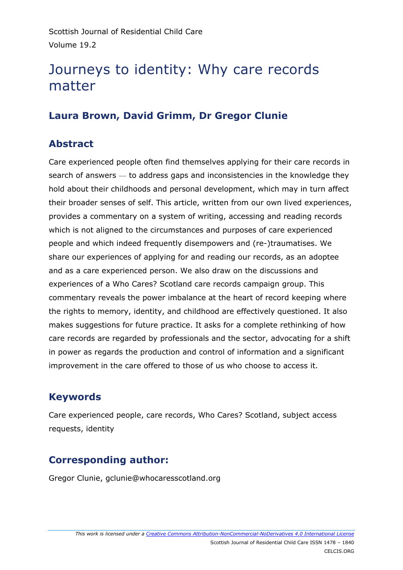# Journeys to identity: Why care records matter

# **Laura Brown, David Grimm, Dr Gregor Clunie**

## **Abstract**

Care experienced people often find themselves applying for their care records in search of answers — to address gaps and inconsistencies in the knowledge they hold about their childhoods and personal development, which may in turn affect their broader senses of self. This article, written from our own lived experiences, provides a commentary on a system of writing, accessing and reading records which is not aligned to the circumstances and purposes of care experienced people and which indeed frequently disempowers and (re-)traumatises. We share our experiences of applying for and reading our records, as an adoptee and as a care experienced person. We also draw on the discussions and experiences of a Who Cares? Scotland care records campaign group. This commentary reveals the power imbalance at the heart of record keeping where the rights to memory, identity, and childhood are effectively questioned. It also makes suggestions for future practice. It asks for a complete rethinking of how care records are regarded by professionals and the sector, advocating for a shift in power as regards the production and control of information and a significant improvement in the care offered to those of us who choose to access it.

# **Keywords**

Care experienced people, care records, Who Cares? Scotland, subject access requests, identity

# **Corresponding author:**

Gregor Clunie, gclunie@whocaresscotland.org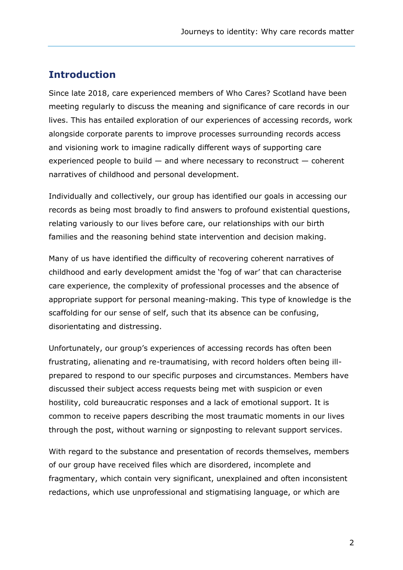## **Introduction**

Since late 2018, care experienced members of Who Cares? Scotland have been meeting regularly to discuss the meaning and significance of care records in our lives. This has entailed exploration of our experiences of accessing records, work alongside corporate parents to improve processes surrounding records access and visioning work to imagine radically different ways of supporting care experienced people to build  $-$  and where necessary to reconstruct  $-$  coherent narratives of childhood and personal development.

Individually and collectively, our group has identified our goals in accessing our records as being most broadly to find answers to profound existential questions, relating variously to our lives before care, our relationships with our birth families and the reasoning behind state intervention and decision making.

Many of us have identified the difficulty of recovering coherent narratives of childhood and early development amidst the 'fog of war' that can characterise care experience, the complexity of professional processes and the absence of appropriate support for personal meaning-making. This type of knowledge is the scaffolding for our sense of self, such that its absence can be confusing, disorientating and distressing.

Unfortunately, our group's experiences of accessing records has often been frustrating, alienating and re-traumatising, with record holders often being illprepared to respond to our specific purposes and circumstances. Members have discussed their subject access requests being met with suspicion or even hostility, cold bureaucratic responses and a lack of emotional support. It is common to receive papers describing the most traumatic moments in our lives through the post, without warning or signposting to relevant support services.

With regard to the substance and presentation of records themselves, members of our group have received files which are disordered, incomplete and fragmentary, which contain very significant, unexplained and often inconsistent redactions, which use unprofessional and stigmatising language, or which are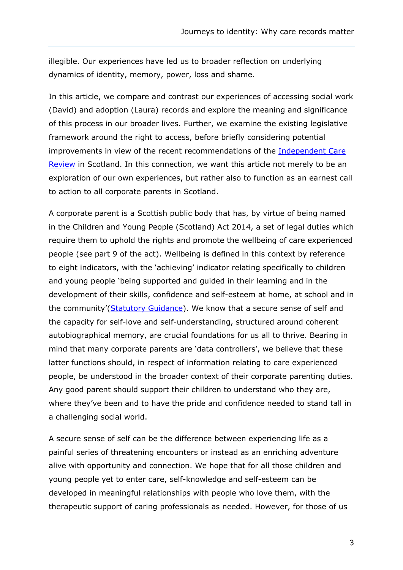illegible. Our experiences have led us to broader reflection on underlying dynamics of identity, memory, power, loss and shame.

In this article, we compare and contrast our experiences of accessing social work (David) and adoption (Laura) records and explore the meaning and significance of this process in our broader lives. Further, we examine the existing legislative framework around the right to access, before briefly considering potential improvements in view of the recent recommendations of the [Independent Care](https://www.carereview.scot/)  [Review](https://www.carereview.scot/) in Scotland. In this connection, we want this article not merely to be an exploration of our own experiences, but rather also to function as an earnest call to action to all corporate parents in Scotland.

A corporate parent is a Scottish public body that has, by virtue of being named in the Children and Young People (Scotland) Act 2014, a set of legal duties which require them to uphold the rights and promote the wellbeing of care experienced people (see part 9 of the act). Wellbeing is defined in this context by reference to eight indicators, with the 'achieving' indicator relating specifically to children and young people 'being supported and guided in their learning and in the development of their skills, confidence and self-esteem at home, at school and in the community'[\(Statutory Guidance\)](https://www.gov.scot/publications/statutory-guidance-part-3-childrens-services-planning-children-young-people/). We know that a secure sense of self and the capacity for self-love and self-understanding, structured around coherent autobiographical memory, are crucial foundations for us all to thrive. Bearing in mind that many corporate parents are 'data controllers', we believe that these latter functions should, in respect of information relating to care experienced people, be understood in the broader context of their corporate parenting duties. Any good parent should support their children to understand who they are, where they've been and to have the pride and confidence needed to stand tall in a challenging social world.

A secure sense of self can be the difference between experiencing life as a painful series of threatening encounters or instead as an enriching adventure alive with opportunity and connection. We hope that for all those children and young people yet to enter care, self-knowledge and self-esteem can be developed in meaningful relationships with people who love them, with the therapeutic support of caring professionals as needed. However, for those of us

3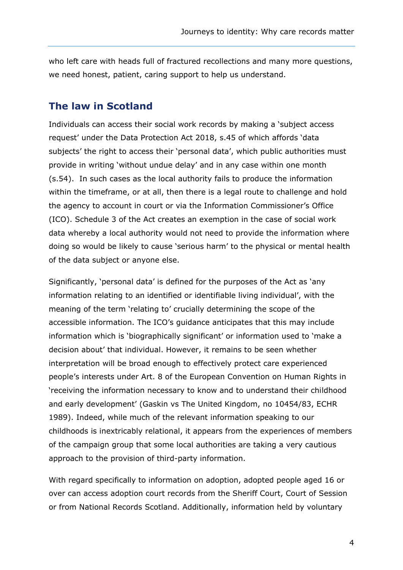who left care with heads full of fractured recollections and many more questions, we need honest, patient, caring support to help us understand.

### **The law in Scotland**

Individuals can access their social work records by making a 'subject access request' under the Data Protection Act 2018, s.45 of which affords 'data subjects' the right to access their 'personal data', which public authorities must provide in writing 'without undue delay' and in any case within one month (s.54). In such cases as the local authority fails to produce the information within the timeframe, or at all, then there is a legal route to challenge and hold the agency to account in court or via the Information Commissioner's Office (ICO). Schedule 3 of the Act creates an exemption in the case of social work data whereby a local authority would not need to provide the information where doing so would be likely to cause 'serious harm' to the physical or mental health of the data subject or anyone else.

Significantly, 'personal data' is defined for the purposes of the Act as 'any information relating to an identified or identifiable living individual', with the meaning of the term 'relating to' crucially determining the scope of the accessible information. The ICO's guidance anticipates that this may include information which is 'biographically significant' or information used to 'make a decision about' that individual. However, it remains to be seen whether interpretation will be broad enough to effectively protect care experienced people's interests under Art. 8 of the European Convention on Human Rights in 'receiving the information necessary to know and to understand their childhood and early development' (Gaskin vs The United Kingdom, no 10454/83, ECHR 1989). Indeed, while much of the relevant information speaking to our childhoods is inextricably relational, it appears from the experiences of members of the campaign group that some local authorities are taking a very cautious approach to the provision of third-party information.

With regard specifically to information on adoption, adopted people aged 16 or over can access adoption court records from the Sheriff Court, Court of Session or from National Records Scotland. Additionally, information held by voluntary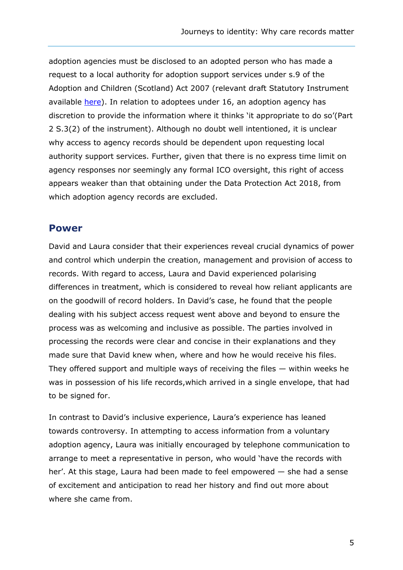adoption agencies must be disclosed to an adopted person who has made a request to a local authority for adoption support services under s.9 of the Adoption and Children (Scotland) Act 2007 (relevant draft Statutory Instrument available [here\)](http://www.legislation.gov.uk/sdsi/2009/9780111005286). In relation to adoptees under 16, an adoption agency has discretion to provide the information where it thinks 'it appropriate to do so'(Part 2 S.3(2) of the instrument). Although no doubt well intentioned, it is unclear why access to agency records should be dependent upon requesting local authority support services. Further, given that there is no express time limit on agency responses nor seemingly any formal ICO oversight, this right of access appears weaker than that obtaining under the Data Protection Act 2018, from which adoption agency records are excluded.

#### **Power**

David and Laura consider that their experiences reveal crucial dynamics of power and control which underpin the creation, management and provision of access to records. With regard to access, Laura and David experienced polarising differences in treatment, which is considered to reveal how reliant applicants are on the goodwill of record holders. In David's case, he found that the people dealing with his subject access request went above and beyond to ensure the process was as welcoming and inclusive as possible. The parties involved in processing the records were clear and concise in their explanations and they made sure that David knew when, where and how he would receive his files. They offered support and multiple ways of receiving the files — within weeks he was in possession of his life records,which arrived in a single envelope, that had to be signed for.

In contrast to David's inclusive experience, Laura's experience has leaned towards controversy. In attempting to access information from a voluntary adoption agency, Laura was initially encouraged by telephone communication to arrange to meet a representative in person, who would 'have the records with her'. At this stage, Laura had been made to feel empowered — she had a sense of excitement and anticipation to read her history and find out more about where she came from.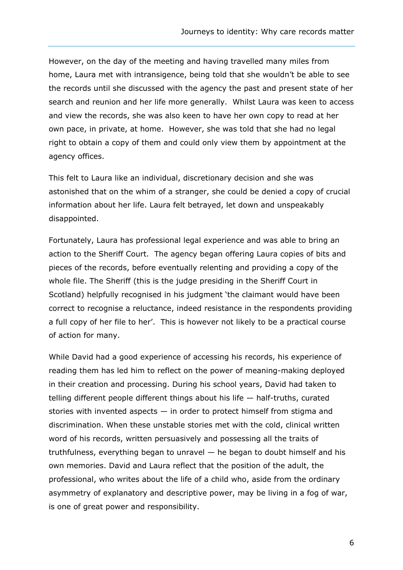However, on the day of the meeting and having travelled many miles from home, Laura met with intransigence, being told that she wouldn't be able to see the records until she discussed with the agency the past and present state of her search and reunion and her life more generally. Whilst Laura was keen to access and view the records, she was also keen to have her own copy to read at her own pace, in private, at home. However, she was told that she had no legal right to obtain a copy of them and could only view them by appointment at the agency offices.

This felt to Laura like an individual, discretionary decision and she was astonished that on the whim of a stranger, she could be denied a copy of crucial information about her life. Laura felt betrayed, let down and unspeakably disappointed.

Fortunately, Laura has professional legal experience and was able to bring an action to the Sheriff Court. The agency began offering Laura copies of bits and pieces of the records, before eventually relenting and providing a copy of the whole file. The Sheriff (this is the judge presiding in the Sheriff Court in Scotland) helpfully recognised in his judgment 'the claimant would have been correct to recognise a reluctance, indeed resistance in the respondents providing a full copy of her file to her'. This is however not likely to be a practical course of action for many.

While David had a good experience of accessing his records, his experience of reading them has led him to reflect on the power of meaning-making deployed in their creation and processing. During his school years, David had taken to telling different people different things about his life — half-truths, curated stories with invented aspects — in order to protect himself from stigma and discrimination. When these unstable stories met with the cold, clinical written word of his records, written persuasively and possessing all the traits of truthfulness, everything began to unravel — he began to doubt himself and his own memories. David and Laura reflect that the position of the adult, the professional, who writes about the life of a child who, aside from the ordinary asymmetry of explanatory and descriptive power, may be living in a fog of war, is one of great power and responsibility.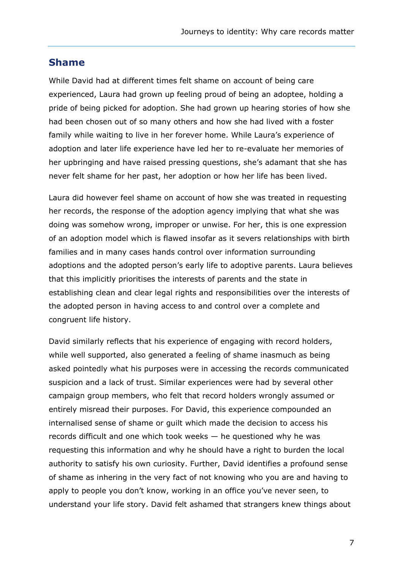#### **Shame**

While David had at different times felt shame on account of being care experienced, Laura had grown up feeling proud of being an adoptee, holding a pride of being picked for adoption. She had grown up hearing stories of how she had been chosen out of so many others and how she had lived with a foster family while waiting to live in her forever home. While Laura's experience of adoption and later life experience have led her to re-evaluate her memories of her upbringing and have raised pressing questions, she's adamant that she has never felt shame for her past, her adoption or how her life has been lived.

Laura did however feel shame on account of how she was treated in requesting her records, the response of the adoption agency implying that what she was doing was somehow wrong, improper or unwise. For her, this is one expression of an adoption model which is flawed insofar as it severs relationships with birth families and in many cases hands control over information surrounding adoptions and the adopted person's early life to adoptive parents. Laura believes that this implicitly prioritises the interests of parents and the state in establishing clean and clear legal rights and responsibilities over the interests of the adopted person in having access to and control over a complete and congruent life history.

David similarly reflects that his experience of engaging with record holders, while well supported, also generated a feeling of shame inasmuch as being asked pointedly what his purposes were in accessing the records communicated suspicion and a lack of trust. Similar experiences were had by several other campaign group members, who felt that record holders wrongly assumed or entirely misread their purposes. For David, this experience compounded an internalised sense of shame or guilt which made the decision to access his records difficult and one which took weeks — he questioned why he was requesting this information and why he should have a right to burden the local authority to satisfy his own curiosity. Further, David identifies a profound sense of shame as inhering in the very fact of not knowing who you are and having to apply to people you don't know, working in an office you've never seen, to understand your life story. David felt ashamed that strangers knew things about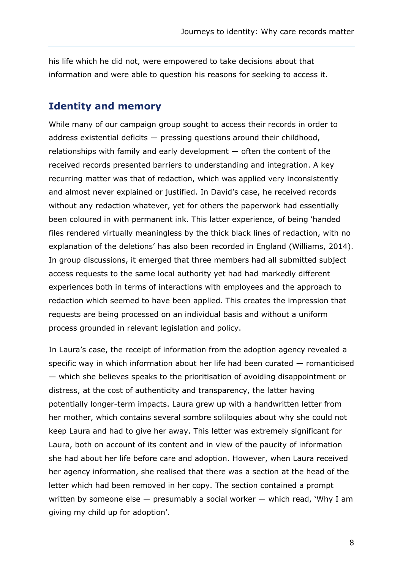his life which he did not, were empowered to take decisions about that information and were able to question his reasons for seeking to access it.

#### **Identity and memory**

While many of our campaign group sought to access their records in order to address existential deficits  $-$  pressing questions around their childhood, relationships with family and early development — often the content of the received records presented barriers to understanding and integration. A key recurring matter was that of redaction, which was applied very inconsistently and almost never explained or justified. In David's case, he received records without any redaction whatever, yet for others the paperwork had essentially been coloured in with permanent ink. This latter experience, of being 'handed files rendered virtually meaningless by the thick black lines of redaction, with no explanation of the deletions' has also been recorded in England (Williams, 2014). In group discussions, it emerged that three members had all submitted subject access requests to the same local authority yet had had markedly different experiences both in terms of interactions with employees and the approach to redaction which seemed to have been applied. This creates the impression that requests are being processed on an individual basis and without a uniform process grounded in relevant legislation and policy.

In Laura's case, the receipt of information from the adoption agency revealed a specific way in which information about her life had been curated — romanticised — which she believes speaks to the prioritisation of avoiding disappointment or distress, at the cost of authenticity and transparency, the latter having potentially longer-term impacts. Laura grew up with a handwritten letter from her mother, which contains several sombre soliloquies about why she could not keep Laura and had to give her away. This letter was extremely significant for Laura, both on account of its content and in view of the paucity of information she had about her life before care and adoption. However, when Laura received her agency information, she realised that there was a section at the head of the letter which had been removed in her copy. The section contained a prompt written by someone else  $-$  presumably a social worker  $-$  which read, 'Why I am giving my child up for adoption'.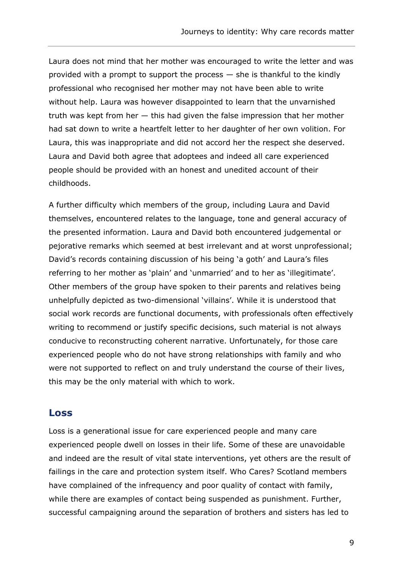Laura does not mind that her mother was encouraged to write the letter and was provided with a prompt to support the process — she is thankful to the kindly professional who recognised her mother may not have been able to write without help. Laura was however disappointed to learn that the unvarnished truth was kept from her — this had given the false impression that her mother had sat down to write a heartfelt letter to her daughter of her own volition. For Laura, this was inappropriate and did not accord her the respect she deserved. Laura and David both agree that adoptees and indeed all care experienced people should be provided with an honest and unedited account of their childhoods.

A further difficulty which members of the group, including Laura and David themselves, encountered relates to the language, tone and general accuracy of the presented information. Laura and David both encountered judgemental or pejorative remarks which seemed at best irrelevant and at worst unprofessional; David's records containing discussion of his being 'a goth' and Laura's files referring to her mother as 'plain' and 'unmarried' and to her as 'illegitimate'. Other members of the group have spoken to their parents and relatives being unhelpfully depicted as two-dimensional 'villains'. While it is understood that social work records are functional documents, with professionals often effectively writing to recommend or justify specific decisions, such material is not always conducive to reconstructing coherent narrative. Unfortunately, for those care experienced people who do not have strong relationships with family and who were not supported to reflect on and truly understand the course of their lives, this may be the only material with which to work.

#### **Loss**

Loss is a generational issue for care experienced people and many care experienced people dwell on losses in their life. Some of these are unavoidable and indeed are the result of vital state interventions, yet others are the result of failings in the care and protection system itself. Who Cares? Scotland members have complained of the infrequency and poor quality of contact with family, while there are examples of contact being suspended as punishment. Further, successful campaigning around the separation of brothers and sisters has led to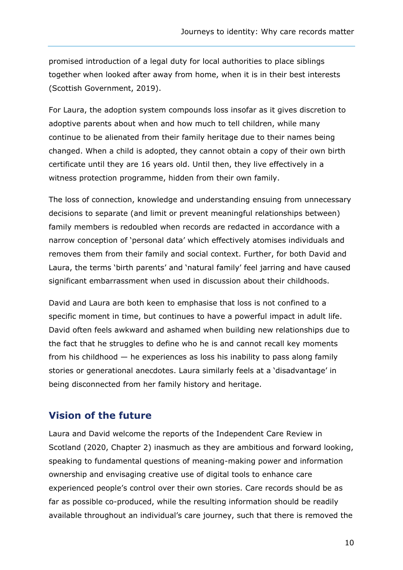promised introduction of a legal duty for local authorities to place siblings together when looked after away from home, when it is in their best interests (Scottish Government, 2019).

For Laura, the adoption system compounds loss insofar as it gives discretion to adoptive parents about when and how much to tell children, while many continue to be alienated from their family heritage due to their names being changed. When a child is adopted, they cannot obtain a copy of their own birth certificate until they are 16 years old. Until then, they live effectively in a witness protection programme, hidden from their own family.

The loss of connection, knowledge and understanding ensuing from unnecessary decisions to separate (and limit or prevent meaningful relationships between) family members is redoubled when records are redacted in accordance with a narrow conception of 'personal data' which effectively atomises individuals and removes them from their family and social context. Further, for both David and Laura, the terms 'birth parents' and 'natural family' feel jarring and have caused significant embarrassment when used in discussion about their childhoods.

David and Laura are both keen to emphasise that loss is not confined to a specific moment in time, but continues to have a powerful impact in adult life. David often feels awkward and ashamed when building new relationships due to the fact that he struggles to define who he is and cannot recall key moments from his childhood — he experiences as loss his inability to pass along family stories or generational anecdotes. Laura similarly feels at a 'disadvantage' in being disconnected from her family history and heritage.

## **Vision of the future**

Laura and David welcome the reports of the Independent Care Review in Scotland (2020, Chapter 2) inasmuch as they are ambitious and forward looking, speaking to fundamental questions of meaning-making power and information ownership and envisaging creative use of digital tools to enhance care experienced people's control over their own stories. Care records should be as far as possible co-produced, while the resulting information should be readily available throughout an individual's care journey, such that there is removed the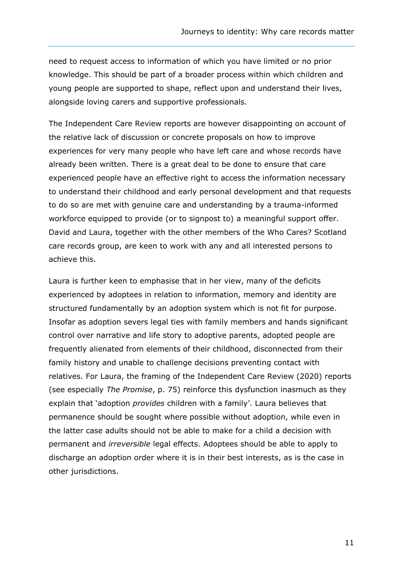need to request access to information of which you have limited or no prior knowledge. This should be part of a broader process within which children and young people are supported to shape, reflect upon and understand their lives, alongside loving carers and supportive professionals.

The Independent Care Review reports are however disappointing on account of the relative lack of discussion or concrete proposals on how to improve experiences for very many people who have left care and whose records have already been written. There is a great deal to be done to ensure that care experienced people have an effective right to access the information necessary to understand their childhood and early personal development and that requests to do so are met with genuine care and understanding by a trauma-informed workforce equipped to provide (or to signpost to) a meaningful support offer. David and Laura, together with the other members of the Who Cares? Scotland care records group, are keen to work with any and all interested persons to achieve this.

Laura is further keen to emphasise that in her view, many of the deficits experienced by adoptees in relation to information, memory and identity are structured fundamentally by an adoption system which is not fit for purpose. Insofar as adoption severs legal ties with family members and hands significant control over narrative and life story to adoptive parents, adopted people are frequently alienated from elements of their childhood, disconnected from their family history and unable to challenge decisions preventing contact with relatives. For Laura, the framing of the Independent Care Review (2020) reports (see especially *The Promise*, p. 75) reinforce this dysfunction inasmuch as they explain that 'adoption *provides* children with a family'. Laura believes that permanence should be sought where possible without adoption, while even in the latter case adults should not be able to make for a child a decision with permanent and *irreversible* legal effects. Adoptees should be able to apply to discharge an adoption order where it is in their best interests, as is the case in other jurisdictions.